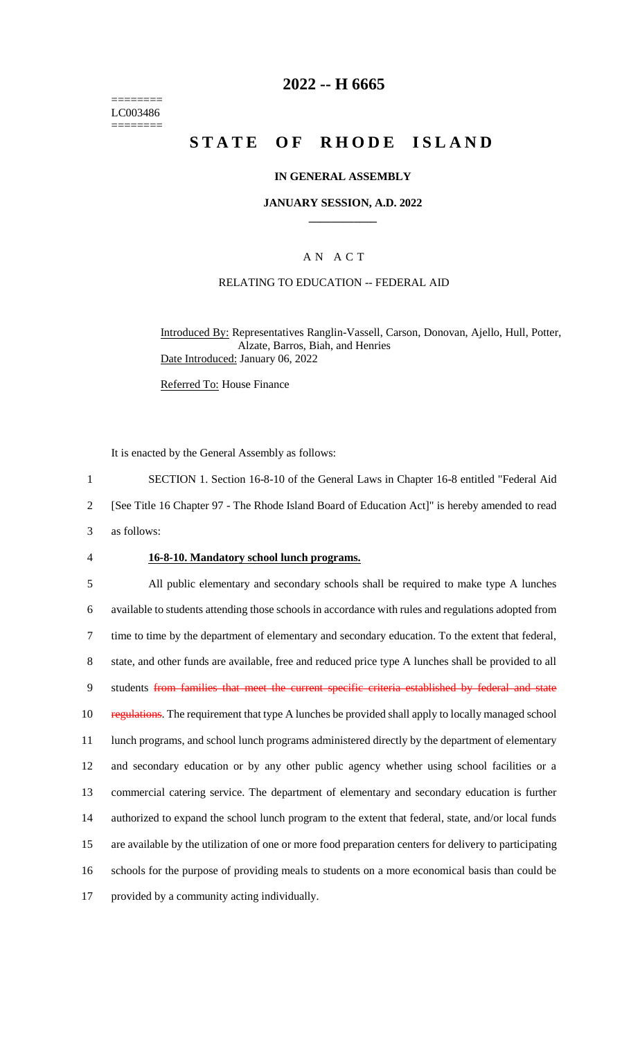======== LC003486 ========

## **2022 -- H 6665**

# **STATE OF RHODE ISLAND**

## **IN GENERAL ASSEMBLY**

### **JANUARY SESSION, A.D. 2022 \_\_\_\_\_\_\_\_\_\_\_\_**

## A N A C T

#### RELATING TO EDUCATION -- FEDERAL AID

Introduced By: Representatives Ranglin-Vassell, Carson, Donovan, Ajello, Hull, Potter, Alzate, Barros, Biah, and Henries Date Introduced: January 06, 2022

Referred To: House Finance

It is enacted by the General Assembly as follows:

1 SECTION 1. Section 16-8-10 of the General Laws in Chapter 16-8 entitled "Federal Aid

2 [See Title 16 Chapter 97 - The Rhode Island Board of Education Act]" is hereby amended to read

3 as follows:

## 4 **16-8-10. Mandatory school lunch programs.**

 All public elementary and secondary schools shall be required to make type A lunches available to students attending those schools in accordance with rules and regulations adopted from time to time by the department of elementary and secondary education. To the extent that federal, state, and other funds are available, free and reduced price type A lunches shall be provided to all 9 students from families that meet the current specific criteria established by federal and state 10 regulations. The requirement that type A lunches be provided shall apply to locally managed school lunch programs, and school lunch programs administered directly by the department of elementary and secondary education or by any other public agency whether using school facilities or a commercial catering service. The department of elementary and secondary education is further authorized to expand the school lunch program to the extent that federal, state, and/or local funds are available by the utilization of one or more food preparation centers for delivery to participating schools for the purpose of providing meals to students on a more economical basis than could be provided by a community acting individually.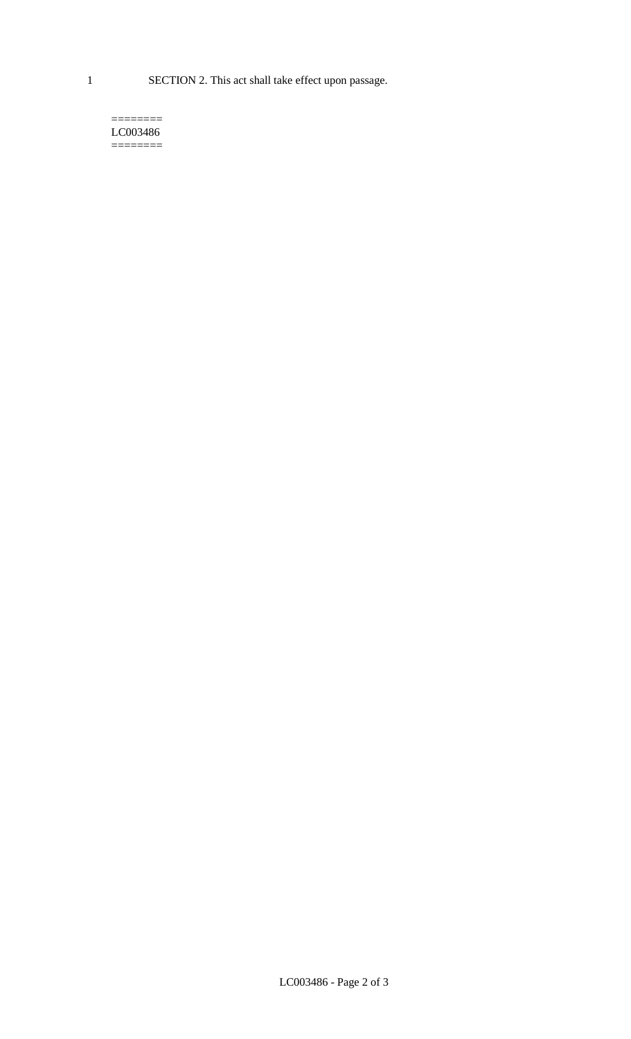1 SECTION 2. This act shall take effect upon passage.

#### $=$ LC003486  $=$